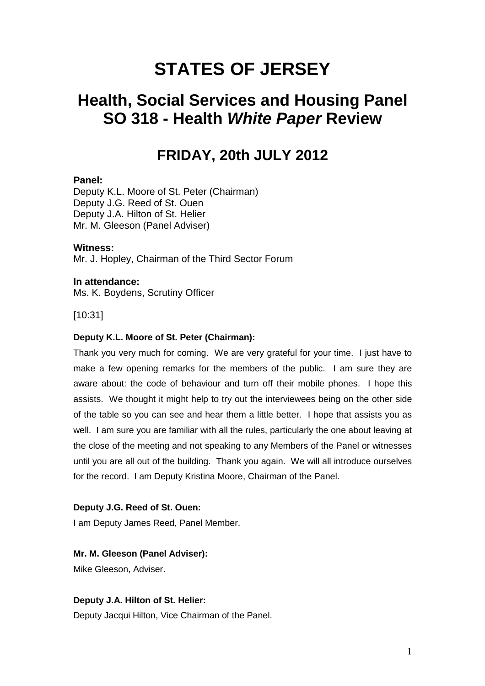# **STATES OF JERSEY**

## **Health, Social Services and Housing Panel SO 318 - Health White Paper Review**

## **FRIDAY, 20th JULY 2012**

## **Panel:**

Deputy K.L. Moore of St. Peter (Chairman) Deputy J.G. Reed of St. Ouen Deputy J.A. Hilton of St. Helier Mr. M. Gleeson (Panel Adviser)

## **Witness:**

Mr. J. Hopley, Chairman of the Third Sector Forum

## **In attendance:**

Ms. K. Boydens, Scrutiny Officer

## [10:31]

## **Deputy K.L. Moore of St. Peter (Chairman):**

Thank you very much for coming. We are very grateful for your time. I just have to make a few opening remarks for the members of the public. I am sure they are aware about: the code of behaviour and turn off their mobile phones. I hope this assists. We thought it might help to try out the interviewees being on the other side of the table so you can see and hear them a little better. I hope that assists you as well. I am sure you are familiar with all the rules, particularly the one about leaving at the close of the meeting and not speaking to any Members of the Panel or witnesses until you are all out of the building. Thank you again. We will all introduce ourselves for the record. I am Deputy Kristina Moore, Chairman of the Panel.

## **Deputy J.G. Reed of St. Ouen:**

I am Deputy James Reed, Panel Member.

## **Mr. M. Gleeson (Panel Adviser):**

Mike Gleeson, Adviser.

## **Deputy J.A. Hilton of St. Helier:**

Deputy Jacqui Hilton, Vice Chairman of the Panel.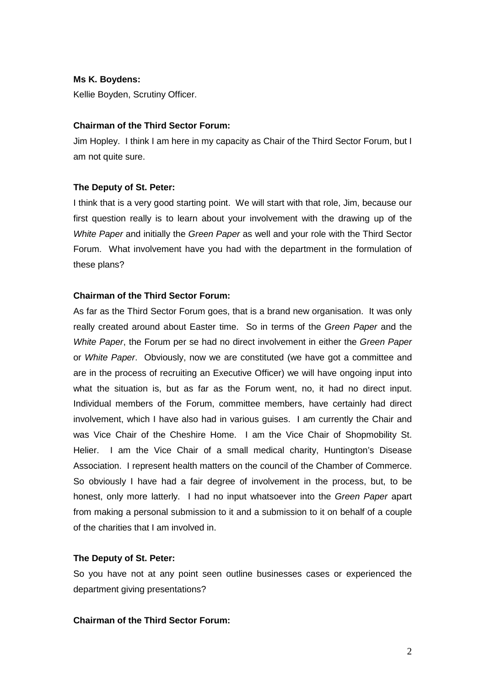## **Ms K. Boydens:**

Kellie Boyden, Scrutiny Officer.

## **Chairman of the Third Sector Forum:**

Jim Hopley. I think I am here in my capacity as Chair of the Third Sector Forum, but I am not quite sure.

## **The Deputy of St. Peter:**

I think that is a very good starting point. We will start with that role, Jim, because our first question really is to learn about your involvement with the drawing up of the White Paper and initially the Green Paper as well and your role with the Third Sector Forum. What involvement have you had with the department in the formulation of these plans?

## **Chairman of the Third Sector Forum:**

As far as the Third Sector Forum goes, that is a brand new organisation. It was only really created around about Easter time. So in terms of the Green Paper and the White Paper, the Forum per se had no direct involvement in either the Green Paper or White Paper. Obviously, now we are constituted (we have got a committee and are in the process of recruiting an Executive Officer) we will have ongoing input into what the situation is, but as far as the Forum went, no, it had no direct input. Individual members of the Forum, committee members, have certainly had direct involvement, which I have also had in various guises. I am currently the Chair and was Vice Chair of the Cheshire Home. I am the Vice Chair of Shopmobility St. Helier. I am the Vice Chair of a small medical charity, Huntington's Disease Association. I represent health matters on the council of the Chamber of Commerce. So obviously I have had a fair degree of involvement in the process, but, to be honest, only more latterly. I had no input whatsoever into the Green Paper apart from making a personal submission to it and a submission to it on behalf of a couple of the charities that I am involved in.

## **The Deputy of St. Peter:**

So you have not at any point seen outline businesses cases or experienced the department giving presentations?

## **Chairman of the Third Sector Forum:**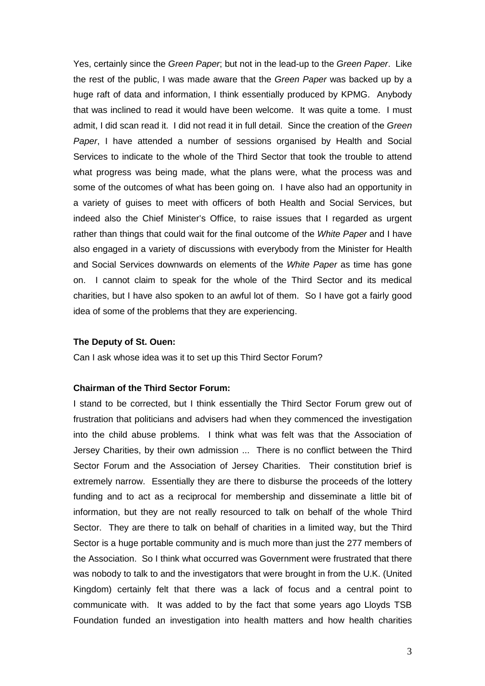Yes, certainly since the Green Paper; but not in the lead-up to the Green Paper. Like the rest of the public, I was made aware that the Green Paper was backed up by a huge raft of data and information, I think essentially produced by KPMG. Anybody that was inclined to read it would have been welcome. It was quite a tome. I must admit, I did scan read it. I did not read it in full detail. Since the creation of the Green Paper, I have attended a number of sessions organised by Health and Social Services to indicate to the whole of the Third Sector that took the trouble to attend what progress was being made, what the plans were, what the process was and some of the outcomes of what has been going on. I have also had an opportunity in a variety of guises to meet with officers of both Health and Social Services, but indeed also the Chief Minister's Office, to raise issues that I regarded as urgent rather than things that could wait for the final outcome of the White Paper and I have also engaged in a variety of discussions with everybody from the Minister for Health and Social Services downwards on elements of the White Paper as time has gone on. I cannot claim to speak for the whole of the Third Sector and its medical charities, but I have also spoken to an awful lot of them. So I have got a fairly good idea of some of the problems that they are experiencing.

#### **The Deputy of St. Ouen:**

Can I ask whose idea was it to set up this Third Sector Forum?

## **Chairman of the Third Sector Forum:**

I stand to be corrected, but I think essentially the Third Sector Forum grew out of frustration that politicians and advisers had when they commenced the investigation into the child abuse problems. I think what was felt was that the Association of Jersey Charities, by their own admission ... There is no conflict between the Third Sector Forum and the Association of Jersey Charities. Their constitution brief is extremely narrow. Essentially they are there to disburse the proceeds of the lottery funding and to act as a reciprocal for membership and disseminate a little bit of information, but they are not really resourced to talk on behalf of the whole Third Sector. They are there to talk on behalf of charities in a limited way, but the Third Sector is a huge portable community and is much more than just the 277 members of the Association. So I think what occurred was Government were frustrated that there was nobody to talk to and the investigators that were brought in from the U.K. (United Kingdom) certainly felt that there was a lack of focus and a central point to communicate with. It was added to by the fact that some years ago Lloyds TSB Foundation funded an investigation into health matters and how health charities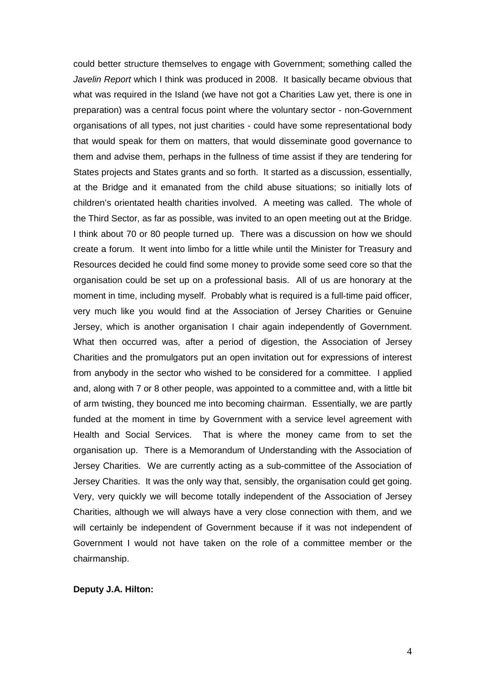could better structure themselves to engage with Government; something called the Javelin Report which I think was produced in 2008. It basically became obvious that what was required in the Island (we have not got a Charities Law yet, there is one in preparation) was a central focus point where the voluntary sector - non-Government organisations of all types, not just charities - could have some representational body that would speak for them on matters, that would disseminate good governance to them and advise them, perhaps in the fullness of time assist if they are tendering for States projects and States grants and so forth. It started as a discussion, essentially, at the Bridge and it emanated from the child abuse situations; so initially lots of children's orientated health charities involved. A meeting was called. The whole of the Third Sector, as far as possible, was invited to an open meeting out at the Bridge. I think about 70 or 80 people turned up. There was a discussion on how we should create a forum. It went into limbo for a little while until the Minister for Treasury and Resources decided he could find some money to provide some seed core so that the organisation could be set up on a professional basis. All of us are honorary at the moment in time, including myself. Probably what is required is a full-time paid officer, very much like you would find at the Association of Jersey Charities or Genuine Jersey, which is another organisation I chair again independently of Government. What then occurred was, after a period of digestion, the Association of Jersey Charities and the promulgators put an open invitation out for expressions of interest from anybody in the sector who wished to be considered for a committee. I applied and, along with 7 or 8 other people, was appointed to a committee and, with a little bit of arm twisting, they bounced me into becoming chairman. Essentially, we are partly funded at the moment in time by Government with a service level agreement with Health and Social Services. That is where the money came from to set the organisation up. There is a Memorandum of Understanding with the Association of Jersey Charities. We are currently acting as a sub-committee of the Association of Jersey Charities. It was the only way that, sensibly, the organisation could get going. Very, very quickly we will become totally independent of the Association of Jersey Charities, although we will always have a very close connection with them, and we will certainly be independent of Government because if it was not independent of Government I would not have taken on the role of a committee member or the chairmanship.

#### **Deputy J.A. Hilton:**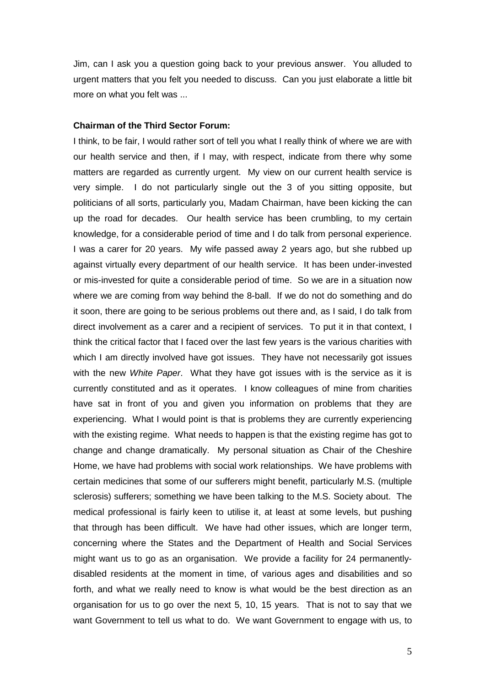Jim, can I ask you a question going back to your previous answer. You alluded to urgent matters that you felt you needed to discuss. Can you just elaborate a little bit more on what you felt was ...

#### **Chairman of the Third Sector Forum:**

I think, to be fair, I would rather sort of tell you what I really think of where we are with our health service and then, if I may, with respect, indicate from there why some matters are regarded as currently urgent. My view on our current health service is very simple. I do not particularly single out the 3 of you sitting opposite, but politicians of all sorts, particularly you, Madam Chairman, have been kicking the can up the road for decades. Our health service has been crumbling, to my certain knowledge, for a considerable period of time and I do talk from personal experience. I was a carer for 20 years. My wife passed away 2 years ago, but she rubbed up against virtually every department of our health service. It has been under-invested or mis-invested for quite a considerable period of time. So we are in a situation now where we are coming from way behind the 8-ball. If we do not do something and do it soon, there are going to be serious problems out there and, as I said, I do talk from direct involvement as a carer and a recipient of services. To put it in that context, I think the critical factor that I faced over the last few years is the various charities with which I am directly involved have got issues. They have not necessarily got issues with the new White Paper. What they have got issues with is the service as it is currently constituted and as it operates. I know colleagues of mine from charities have sat in front of you and given you information on problems that they are experiencing. What I would point is that is problems they are currently experiencing with the existing regime. What needs to happen is that the existing regime has got to change and change dramatically. My personal situation as Chair of the Cheshire Home, we have had problems with social work relationships. We have problems with certain medicines that some of our sufferers might benefit, particularly M.S. (multiple sclerosis) sufferers; something we have been talking to the M.S. Society about. The medical professional is fairly keen to utilise it, at least at some levels, but pushing that through has been difficult. We have had other issues, which are longer term, concerning where the States and the Department of Health and Social Services might want us to go as an organisation. We provide a facility for 24 permanentlydisabled residents at the moment in time, of various ages and disabilities and so forth, and what we really need to know is what would be the best direction as an organisation for us to go over the next 5, 10, 15 years. That is not to say that we want Government to tell us what to do. We want Government to engage with us, to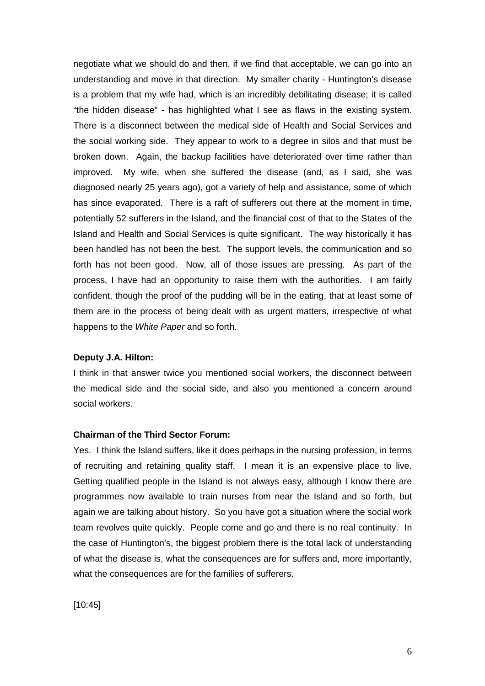negotiate what we should do and then, if we find that acceptable, we can go into an understanding and move in that direction. My smaller charity - Huntington's disease is a problem that my wife had, which is an incredibly debilitating disease; it is called "the hidden disease" - has highlighted what I see as flaws in the existing system. There is a disconnect between the medical side of Health and Social Services and the social working side. They appear to work to a degree in silos and that must be broken down. Again, the backup facilities have deteriorated over time rather than improved. My wife, when she suffered the disease (and, as I said, she was diagnosed nearly 25 years ago), got a variety of help and assistance, some of which has since evaporated. There is a raft of sufferers out there at the moment in time, potentially 52 sufferers in the Island, and the financial cost of that to the States of the Island and Health and Social Services is quite significant. The way historically it has been handled has not been the best. The support levels, the communication and so forth has not been good. Now, all of those issues are pressing. As part of the process, I have had an opportunity to raise them with the authorities. I am fairly confident, though the proof of the pudding will be in the eating, that at least some of them are in the process of being dealt with as urgent matters, irrespective of what happens to the White Paper and so forth.

#### **Deputy J.A. Hilton:**

I think in that answer twice you mentioned social workers, the disconnect between the medical side and the social side, and also you mentioned a concern around social workers.

### **Chairman of the Third Sector Forum:**

Yes. I think the Island suffers, like it does perhaps in the nursing profession, in terms of recruiting and retaining quality staff. I mean it is an expensive place to live. Getting qualified people in the Island is not always easy, although I know there are programmes now available to train nurses from near the Island and so forth, but again we are talking about history. So you have got a situation where the social work team revolves quite quickly. People come and go and there is no real continuity. In the case of Huntington's, the biggest problem there is the total lack of understanding of what the disease is, what the consequences are for suffers and, more importantly, what the consequences are for the families of sufferers.

[10:45]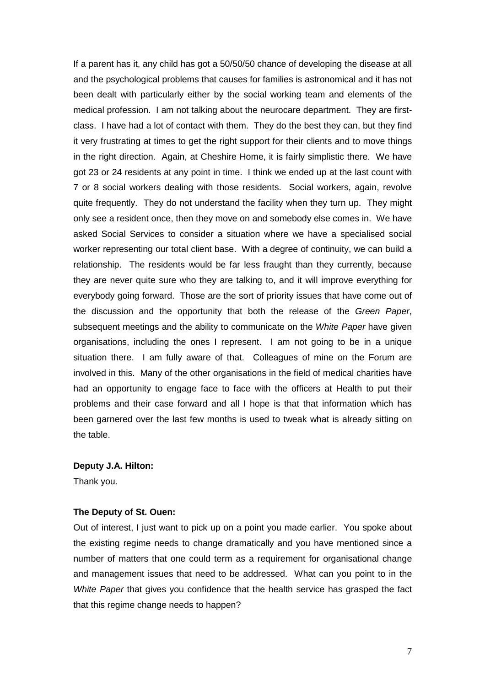If a parent has it, any child has got a 50/50/50 chance of developing the disease at all and the psychological problems that causes for families is astronomical and it has not been dealt with particularly either by the social working team and elements of the medical profession. I am not talking about the neurocare department. They are firstclass. I have had a lot of contact with them. They do the best they can, but they find it very frustrating at times to get the right support for their clients and to move things in the right direction. Again, at Cheshire Home, it is fairly simplistic there. We have got 23 or 24 residents at any point in time. I think we ended up at the last count with 7 or 8 social workers dealing with those residents. Social workers, again, revolve quite frequently. They do not understand the facility when they turn up. They might only see a resident once, then they move on and somebody else comes in. We have asked Social Services to consider a situation where we have a specialised social worker representing our total client base. With a degree of continuity, we can build a relationship. The residents would be far less fraught than they currently, because they are never quite sure who they are talking to, and it will improve everything for everybody going forward. Those are the sort of priority issues that have come out of the discussion and the opportunity that both the release of the Green Paper, subsequent meetings and the ability to communicate on the White Paper have given organisations, including the ones I represent. I am not going to be in a unique situation there. I am fully aware of that. Colleagues of mine on the Forum are involved in this. Many of the other organisations in the field of medical charities have had an opportunity to engage face to face with the officers at Health to put their problems and their case forward and all I hope is that that information which has been garnered over the last few months is used to tweak what is already sitting on the table.

#### **Deputy J.A. Hilton:**

Thank you.

#### **The Deputy of St. Ouen:**

Out of interest, I just want to pick up on a point you made earlier. You spoke about the existing regime needs to change dramatically and you have mentioned since a number of matters that one could term as a requirement for organisational change and management issues that need to be addressed. What can you point to in the White Paper that gives you confidence that the health service has grasped the fact that this regime change needs to happen?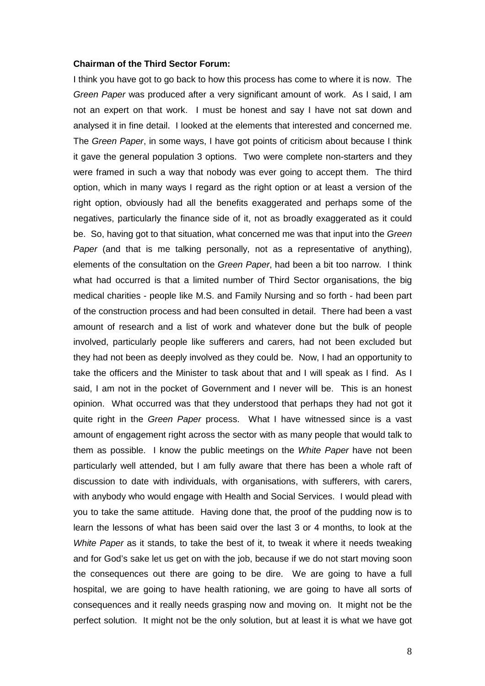#### **Chairman of the Third Sector Forum:**

I think you have got to go back to how this process has come to where it is now. The Green Paper was produced after a very significant amount of work. As I said, I am not an expert on that work. I must be honest and say I have not sat down and analysed it in fine detail. I looked at the elements that interested and concerned me. The Green Paper, in some ways, I have got points of criticism about because I think it gave the general population 3 options. Two were complete non-starters and they were framed in such a way that nobody was ever going to accept them. The third option, which in many ways I regard as the right option or at least a version of the right option, obviously had all the benefits exaggerated and perhaps some of the negatives, particularly the finance side of it, not as broadly exaggerated as it could be. So, having got to that situation, what concerned me was that input into the Green Paper (and that is me talking personally, not as a representative of anything), elements of the consultation on the Green Paper, had been a bit too narrow. I think what had occurred is that a limited number of Third Sector organisations, the big medical charities - people like M.S. and Family Nursing and so forth - had been part of the construction process and had been consulted in detail. There had been a vast amount of research and a list of work and whatever done but the bulk of people involved, particularly people like sufferers and carers, had not been excluded but they had not been as deeply involved as they could be. Now, I had an opportunity to take the officers and the Minister to task about that and I will speak as I find. As I said, I am not in the pocket of Government and I never will be. This is an honest opinion. What occurred was that they understood that perhaps they had not got it quite right in the Green Paper process. What I have witnessed since is a vast amount of engagement right across the sector with as many people that would talk to them as possible. I know the public meetings on the White Paper have not been particularly well attended, but I am fully aware that there has been a whole raft of discussion to date with individuals, with organisations, with sufferers, with carers, with anybody who would engage with Health and Social Services. I would plead with you to take the same attitude. Having done that, the proof of the pudding now is to learn the lessons of what has been said over the last 3 or 4 months, to look at the White Paper as it stands, to take the best of it, to tweak it where it needs tweaking and for God's sake let us get on with the job, because if we do not start moving soon the consequences out there are going to be dire. We are going to have a full hospital, we are going to have health rationing, we are going to have all sorts of consequences and it really needs grasping now and moving on. It might not be the perfect solution. It might not be the only solution, but at least it is what we have got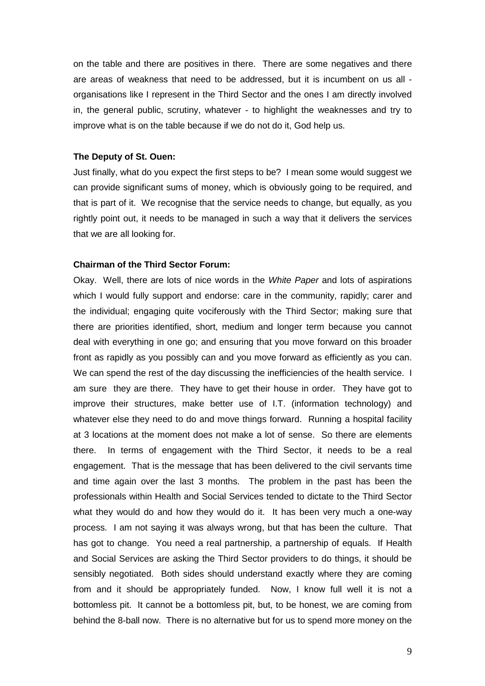on the table and there are positives in there. There are some negatives and there are areas of weakness that need to be addressed, but it is incumbent on us all organisations like I represent in the Third Sector and the ones I am directly involved in, the general public, scrutiny, whatever - to highlight the weaknesses and try to improve what is on the table because if we do not do it, God help us.

#### **The Deputy of St. Ouen:**

Just finally, what do you expect the first steps to be? I mean some would suggest we can provide significant sums of money, which is obviously going to be required, and that is part of it. We recognise that the service needs to change, but equally, as you rightly point out, it needs to be managed in such a way that it delivers the services that we are all looking for.

## **Chairman of the Third Sector Forum:**

Okay. Well, there are lots of nice words in the White Paper and lots of aspirations which I would fully support and endorse: care in the community, rapidly; carer and the individual; engaging quite vociferously with the Third Sector; making sure that there are priorities identified, short, medium and longer term because you cannot deal with everything in one go; and ensuring that you move forward on this broader front as rapidly as you possibly can and you move forward as efficiently as you can. We can spend the rest of the day discussing the inefficiencies of the health service. I am sure they are there. They have to get their house in order. They have got to improve their structures, make better use of I.T. (information technology) and whatever else they need to do and move things forward. Running a hospital facility at 3 locations at the moment does not make a lot of sense. So there are elements there. In terms of engagement with the Third Sector, it needs to be a real engagement. That is the message that has been delivered to the civil servants time and time again over the last 3 months. The problem in the past has been the professionals within Health and Social Services tended to dictate to the Third Sector what they would do and how they would do it. It has been very much a one-way process. I am not saying it was always wrong, but that has been the culture. That has got to change. You need a real partnership, a partnership of equals. If Health and Social Services are asking the Third Sector providers to do things, it should be sensibly negotiated. Both sides should understand exactly where they are coming from and it should be appropriately funded. Now, I know full well it is not a bottomless pit. It cannot be a bottomless pit, but, to be honest, we are coming from behind the 8-ball now. There is no alternative but for us to spend more money on the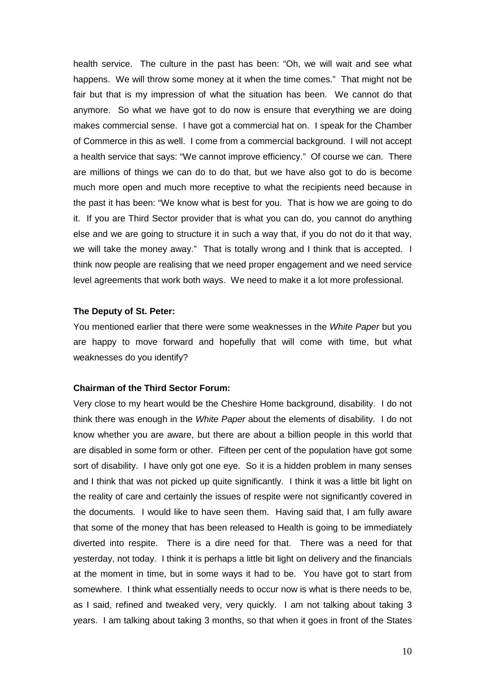health service. The culture in the past has been: "Oh, we will wait and see what happens. We will throw some money at it when the time comes." That might not be fair but that is my impression of what the situation has been. We cannot do that anymore. So what we have got to do now is ensure that everything we are doing makes commercial sense. I have got a commercial hat on. I speak for the Chamber of Commerce in this as well. I come from a commercial background. I will not accept a health service that says: "We cannot improve efficiency." Of course we can. There are millions of things we can do to do that, but we have also got to do is become much more open and much more receptive to what the recipients need because in the past it has been: "We know what is best for you. That is how we are going to do it. If you are Third Sector provider that is what you can do, you cannot do anything else and we are going to structure it in such a way that, if you do not do it that way, we will take the money away." That is totally wrong and I think that is accepted. I think now people are realising that we need proper engagement and we need service level agreements that work both ways. We need to make it a lot more professional.

#### **The Deputy of St. Peter:**

You mentioned earlier that there were some weaknesses in the White Paper but you are happy to move forward and hopefully that will come with time, but what weaknesses do you identify?

## **Chairman of the Third Sector Forum:**

Very close to my heart would be the Cheshire Home background, disability. I do not think there was enough in the White Paper about the elements of disability. I do not know whether you are aware, but there are about a billion people in this world that are disabled in some form or other. Fifteen per cent of the population have got some sort of disability. I have only got one eye. So it is a hidden problem in many senses and I think that was not picked up quite significantly. I think it was a little bit light on the reality of care and certainly the issues of respite were not significantly covered in the documents. I would like to have seen them. Having said that, I am fully aware that some of the money that has been released to Health is going to be immediately diverted into respite. There is a dire need for that. There was a need for that yesterday, not today. I think it is perhaps a little bit light on delivery and the financials at the moment in time, but in some ways it had to be. You have got to start from somewhere. I think what essentially needs to occur now is what is there needs to be, as I said, refined and tweaked very, very quickly. I am not talking about taking 3 years. I am talking about taking 3 months, so that when it goes in front of the States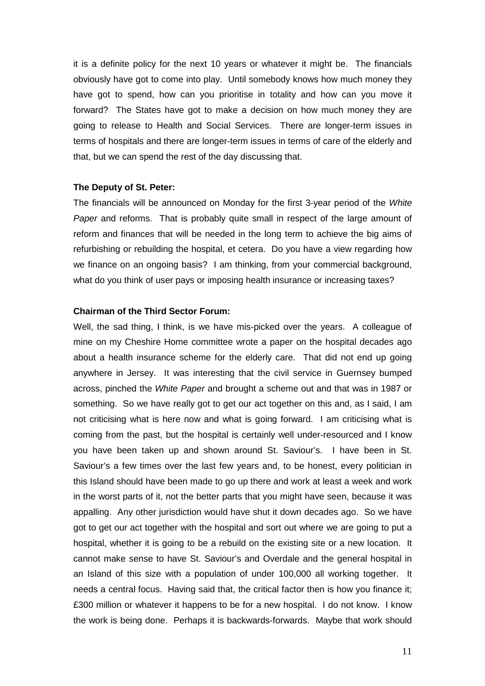it is a definite policy for the next 10 years or whatever it might be. The financials obviously have got to come into play. Until somebody knows how much money they have got to spend, how can you prioritise in totality and how can you move it forward? The States have got to make a decision on how much money they are going to release to Health and Social Services. There are longer-term issues in terms of hospitals and there are longer-term issues in terms of care of the elderly and that, but we can spend the rest of the day discussing that.

#### **The Deputy of St. Peter:**

The financials will be announced on Monday for the first 3-year period of the White Paper and reforms. That is probably quite small in respect of the large amount of reform and finances that will be needed in the long term to achieve the big aims of refurbishing or rebuilding the hospital, et cetera. Do you have a view regarding how we finance on an ongoing basis? I am thinking, from your commercial background, what do you think of user pays or imposing health insurance or increasing taxes?

## **Chairman of the Third Sector Forum:**

Well, the sad thing, I think, is we have mis-picked over the years. A colleague of mine on my Cheshire Home committee wrote a paper on the hospital decades ago about a health insurance scheme for the elderly care. That did not end up going anywhere in Jersey. It was interesting that the civil service in Guernsey bumped across, pinched the White Paper and brought a scheme out and that was in 1987 or something. So we have really got to get our act together on this and, as I said, I am not criticising what is here now and what is going forward. I am criticising what is coming from the past, but the hospital is certainly well under-resourced and I know you have been taken up and shown around St. Saviour's. I have been in St. Saviour's a few times over the last few years and, to be honest, every politician in this Island should have been made to go up there and work at least a week and work in the worst parts of it, not the better parts that you might have seen, because it was appalling. Any other jurisdiction would have shut it down decades ago. So we have got to get our act together with the hospital and sort out where we are going to put a hospital, whether it is going to be a rebuild on the existing site or a new location. It cannot make sense to have St. Saviour's and Overdale and the general hospital in an Island of this size with a population of under 100,000 all working together. It needs a central focus. Having said that, the critical factor then is how you finance it; £300 million or whatever it happens to be for a new hospital. I do not know. I know the work is being done. Perhaps it is backwards-forwards. Maybe that work should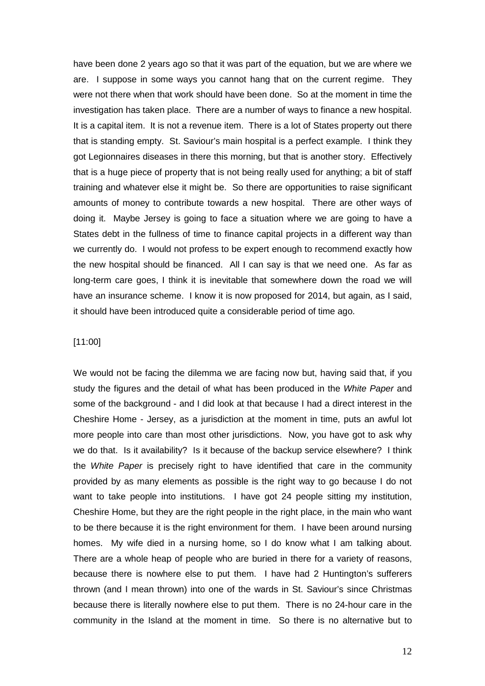have been done 2 years ago so that it was part of the equation, but we are where we are. I suppose in some ways you cannot hang that on the current regime. They were not there when that work should have been done. So at the moment in time the investigation has taken place. There are a number of ways to finance a new hospital. It is a capital item. It is not a revenue item. There is a lot of States property out there that is standing empty. St. Saviour's main hospital is a perfect example. I think they got Legionnaires diseases in there this morning, but that is another story. Effectively that is a huge piece of property that is not being really used for anything; a bit of staff training and whatever else it might be. So there are opportunities to raise significant amounts of money to contribute towards a new hospital. There are other ways of doing it. Maybe Jersey is going to face a situation where we are going to have a States debt in the fullness of time to finance capital projects in a different way than we currently do. I would not profess to be expert enough to recommend exactly how the new hospital should be financed. All I can say is that we need one. As far as long-term care goes, I think it is inevitable that somewhere down the road we will have an insurance scheme. I know it is now proposed for 2014, but again, as I said, it should have been introduced quite a considerable period of time ago.

#### [11:00]

We would not be facing the dilemma we are facing now but, having said that, if you study the figures and the detail of what has been produced in the White Paper and some of the background - and I did look at that because I had a direct interest in the Cheshire Home - Jersey, as a jurisdiction at the moment in time, puts an awful lot more people into care than most other jurisdictions. Now, you have got to ask why we do that. Is it availability? Is it because of the backup service elsewhere? I think the White Paper is precisely right to have identified that care in the community provided by as many elements as possible is the right way to go because I do not want to take people into institutions. I have got 24 people sitting my institution, Cheshire Home, but they are the right people in the right place, in the main who want to be there because it is the right environment for them. I have been around nursing homes. My wife died in a nursing home, so I do know what I am talking about. There are a whole heap of people who are buried in there for a variety of reasons, because there is nowhere else to put them. I have had 2 Huntington's sufferers thrown (and I mean thrown) into one of the wards in St. Saviour's since Christmas because there is literally nowhere else to put them. There is no 24-hour care in the community in the Island at the moment in time. So there is no alternative but to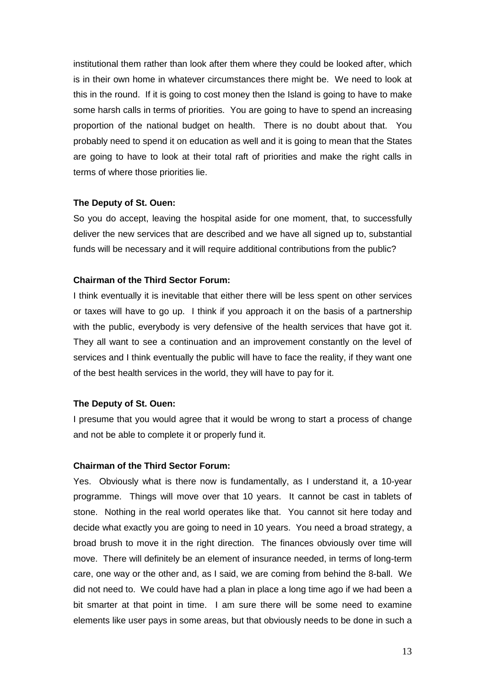institutional them rather than look after them where they could be looked after, which is in their own home in whatever circumstances there might be. We need to look at this in the round. If it is going to cost money then the Island is going to have to make some harsh calls in terms of priorities. You are going to have to spend an increasing proportion of the national budget on health. There is no doubt about that. You probably need to spend it on education as well and it is going to mean that the States are going to have to look at their total raft of priorities and make the right calls in terms of where those priorities lie.

#### **The Deputy of St. Ouen:**

So you do accept, leaving the hospital aside for one moment, that, to successfully deliver the new services that are described and we have all signed up to, substantial funds will be necessary and it will require additional contributions from the public?

## **Chairman of the Third Sector Forum:**

I think eventually it is inevitable that either there will be less spent on other services or taxes will have to go up. I think if you approach it on the basis of a partnership with the public, everybody is very defensive of the health services that have got it. They all want to see a continuation and an improvement constantly on the level of services and I think eventually the public will have to face the reality, if they want one of the best health services in the world, they will have to pay for it.

## **The Deputy of St. Ouen:**

I presume that you would agree that it would be wrong to start a process of change and not be able to complete it or properly fund it.

## **Chairman of the Third Sector Forum:**

Yes. Obviously what is there now is fundamentally, as I understand it, a 10-year programme. Things will move over that 10 years. It cannot be cast in tablets of stone. Nothing in the real world operates like that. You cannot sit here today and decide what exactly you are going to need in 10 years. You need a broad strategy, a broad brush to move it in the right direction. The finances obviously over time will move. There will definitely be an element of insurance needed, in terms of long-term care, one way or the other and, as I said, we are coming from behind the 8-ball. We did not need to. We could have had a plan in place a long time ago if we had been a bit smarter at that point in time. I am sure there will be some need to examine elements like user pays in some areas, but that obviously needs to be done in such a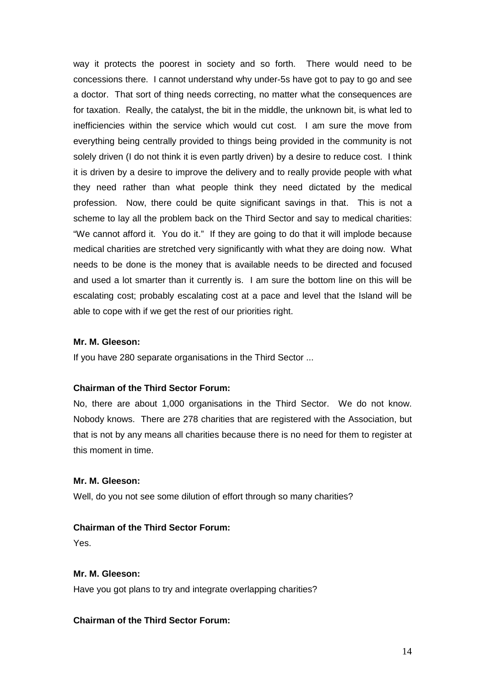way it protects the poorest in society and so forth. There would need to be concessions there. I cannot understand why under-5s have got to pay to go and see a doctor. That sort of thing needs correcting, no matter what the consequences are for taxation. Really, the catalyst, the bit in the middle, the unknown bit, is what led to inefficiencies within the service which would cut cost. I am sure the move from everything being centrally provided to things being provided in the community is not solely driven (I do not think it is even partly driven) by a desire to reduce cost. I think it is driven by a desire to improve the delivery and to really provide people with what they need rather than what people think they need dictated by the medical profession. Now, there could be quite significant savings in that. This is not a scheme to lay all the problem back on the Third Sector and say to medical charities: "We cannot afford it. You do it." If they are going to do that it will implode because medical charities are stretched very significantly with what they are doing now. What needs to be done is the money that is available needs to be directed and focused and used a lot smarter than it currently is. I am sure the bottom line on this will be escalating cost; probably escalating cost at a pace and level that the Island will be able to cope with if we get the rest of our priorities right.

## **Mr. M. Gleeson:**

If you have 280 separate organisations in the Third Sector ...

## **Chairman of the Third Sector Forum:**

No, there are about 1,000 organisations in the Third Sector. We do not know. Nobody knows. There are 278 charities that are registered with the Association, but that is not by any means all charities because there is no need for them to register at this moment in time.

## **Mr. M. Gleeson:**

Well, do you not see some dilution of effort through so many charities?

## **Chairman of the Third Sector Forum:**

Yes.

## **Mr. M. Gleeson:**

Have you got plans to try and integrate overlapping charities?

## **Chairman of the Third Sector Forum:**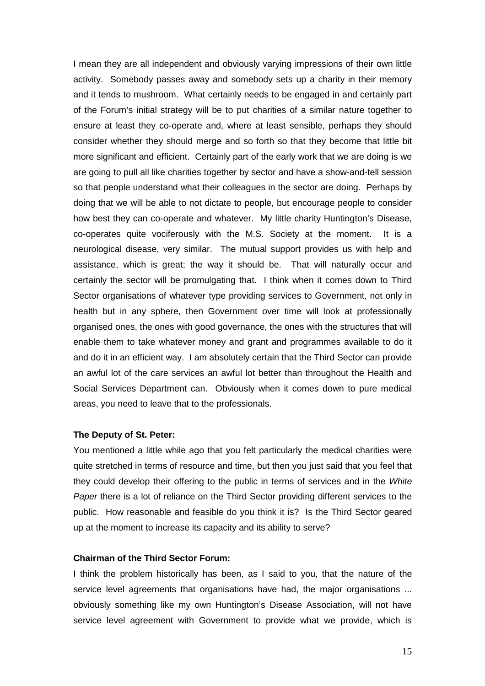I mean they are all independent and obviously varying impressions of their own little activity. Somebody passes away and somebody sets up a charity in their memory and it tends to mushroom. What certainly needs to be engaged in and certainly part of the Forum's initial strategy will be to put charities of a similar nature together to ensure at least they co-operate and, where at least sensible, perhaps they should consider whether they should merge and so forth so that they become that little bit more significant and efficient. Certainly part of the early work that we are doing is we are going to pull all like charities together by sector and have a show-and-tell session so that people understand what their colleagues in the sector are doing. Perhaps by doing that we will be able to not dictate to people, but encourage people to consider how best they can co-operate and whatever. My little charity Huntington's Disease, co-operates quite vociferously with the M.S. Society at the moment. It is a neurological disease, very similar. The mutual support provides us with help and assistance, which is great; the way it should be. That will naturally occur and certainly the sector will be promulgating that. I think when it comes down to Third Sector organisations of whatever type providing services to Government, not only in health but in any sphere, then Government over time will look at professionally organised ones, the ones with good governance, the ones with the structures that will enable them to take whatever money and grant and programmes available to do it and do it in an efficient way. I am absolutely certain that the Third Sector can provide an awful lot of the care services an awful lot better than throughout the Health and Social Services Department can. Obviously when it comes down to pure medical areas, you need to leave that to the professionals.

#### **The Deputy of St. Peter:**

You mentioned a little while ago that you felt particularly the medical charities were quite stretched in terms of resource and time, but then you just said that you feel that they could develop their offering to the public in terms of services and in the White Paper there is a lot of reliance on the Third Sector providing different services to the public. How reasonable and feasible do you think it is? Is the Third Sector geared up at the moment to increase its capacity and its ability to serve?

#### **Chairman of the Third Sector Forum:**

I think the problem historically has been, as I said to you, that the nature of the service level agreements that organisations have had, the major organisations ... obviously something like my own Huntington's Disease Association, will not have service level agreement with Government to provide what we provide, which is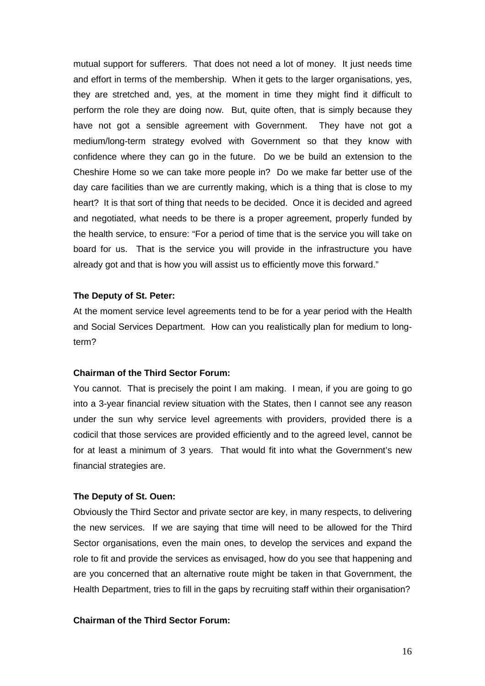mutual support for sufferers. That does not need a lot of money. It just needs time and effort in terms of the membership. When it gets to the larger organisations, yes, they are stretched and, yes, at the moment in time they might find it difficult to perform the role they are doing now. But, quite often, that is simply because they have not got a sensible agreement with Government. They have not got a medium/long-term strategy evolved with Government so that they know with confidence where they can go in the future. Do we be build an extension to the Cheshire Home so we can take more people in? Do we make far better use of the day care facilities than we are currently making, which is a thing that is close to my heart? It is that sort of thing that needs to be decided. Once it is decided and agreed and negotiated, what needs to be there is a proper agreement, properly funded by the health service, to ensure: "For a period of time that is the service you will take on board for us. That is the service you will provide in the infrastructure you have already got and that is how you will assist us to efficiently move this forward."

#### **The Deputy of St. Peter:**

At the moment service level agreements tend to be for a year period with the Health and Social Services Department. How can you realistically plan for medium to longterm?

## **Chairman of the Third Sector Forum:**

You cannot. That is precisely the point I am making. I mean, if you are going to go into a 3-year financial review situation with the States, then I cannot see any reason under the sun why service level agreements with providers, provided there is a codicil that those services are provided efficiently and to the agreed level, cannot be for at least a minimum of 3 years. That would fit into what the Government's new financial strategies are.

#### **The Deputy of St. Ouen:**

Obviously the Third Sector and private sector are key, in many respects, to delivering the new services. If we are saying that time will need to be allowed for the Third Sector organisations, even the main ones, to develop the services and expand the role to fit and provide the services as envisaged, how do you see that happening and are you concerned that an alternative route might be taken in that Government, the Health Department, tries to fill in the gaps by recruiting staff within their organisation?

## **Chairman of the Third Sector Forum:**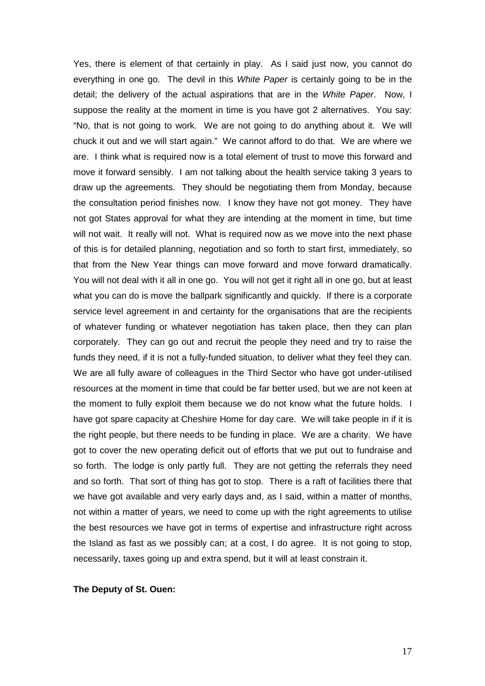Yes, there is element of that certainly in play. As I said just now, you cannot do everything in one go. The devil in this White Paper is certainly going to be in the detail; the delivery of the actual aspirations that are in the White Paper. Now, I suppose the reality at the moment in time is you have got 2 alternatives. You say: "No, that is not going to work. We are not going to do anything about it. We will chuck it out and we will start again." We cannot afford to do that. We are where we are. I think what is required now is a total element of trust to move this forward and move it forward sensibly. I am not talking about the health service taking 3 years to draw up the agreements. They should be negotiating them from Monday, because the consultation period finishes now. I know they have not got money. They have not got States approval for what they are intending at the moment in time, but time will not wait. It really will not. What is required now as we move into the next phase of this is for detailed planning, negotiation and so forth to start first, immediately, so that from the New Year things can move forward and move forward dramatically. You will not deal with it all in one go. You will not get it right all in one go, but at least what you can do is move the ballpark significantly and quickly. If there is a corporate service level agreement in and certainty for the organisations that are the recipients of whatever funding or whatever negotiation has taken place, then they can plan corporately. They can go out and recruit the people they need and try to raise the funds they need, if it is not a fully-funded situation, to deliver what they feel they can. We are all fully aware of colleagues in the Third Sector who have got under-utilised resources at the moment in time that could be far better used, but we are not keen at the moment to fully exploit them because we do not know what the future holds. I have got spare capacity at Cheshire Home for day care. We will take people in if it is the right people, but there needs to be funding in place. We are a charity. We have got to cover the new operating deficit out of efforts that we put out to fundraise and so forth. The lodge is only partly full. They are not getting the referrals they need and so forth. That sort of thing has got to stop. There is a raft of facilities there that we have got available and very early days and, as I said, within a matter of months, not within a matter of years, we need to come up with the right agreements to utilise the best resources we have got in terms of expertise and infrastructure right across the Island as fast as we possibly can; at a cost, I do agree. It is not going to stop, necessarily, taxes going up and extra spend, but it will at least constrain it.

#### **The Deputy of St. Ouen:**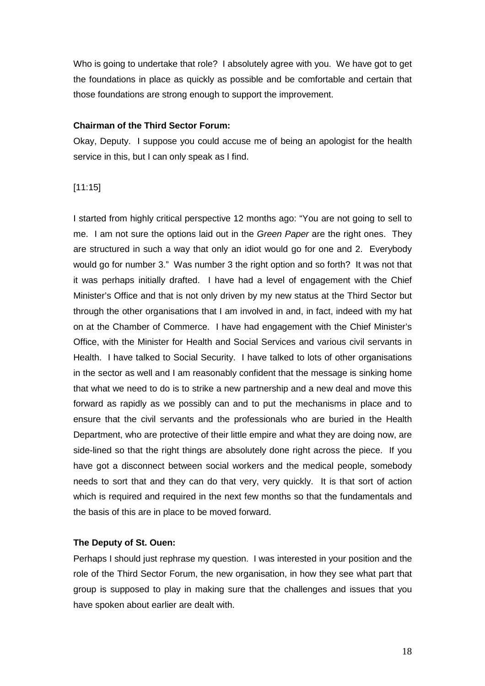Who is going to undertake that role? I absolutely agree with you. We have got to get the foundations in place as quickly as possible and be comfortable and certain that those foundations are strong enough to support the improvement.

## **Chairman of the Third Sector Forum:**

Okay, Deputy. I suppose you could accuse me of being an apologist for the health service in this, but I can only speak as I find.

## [11:15]

I started from highly critical perspective 12 months ago: "You are not going to sell to me. I am not sure the options laid out in the Green Paper are the right ones. They are structured in such a way that only an idiot would go for one and 2. Everybody would go for number 3." Was number 3 the right option and so forth? It was not that it was perhaps initially drafted. I have had a level of engagement with the Chief Minister's Office and that is not only driven by my new status at the Third Sector but through the other organisations that I am involved in and, in fact, indeed with my hat on at the Chamber of Commerce. I have had engagement with the Chief Minister's Office, with the Minister for Health and Social Services and various civil servants in Health. I have talked to Social Security. I have talked to lots of other organisations in the sector as well and I am reasonably confident that the message is sinking home that what we need to do is to strike a new partnership and a new deal and move this forward as rapidly as we possibly can and to put the mechanisms in place and to ensure that the civil servants and the professionals who are buried in the Health Department, who are protective of their little empire and what they are doing now, are side-lined so that the right things are absolutely done right across the piece. If you have got a disconnect between social workers and the medical people, somebody needs to sort that and they can do that very, very quickly. It is that sort of action which is required and required in the next few months so that the fundamentals and the basis of this are in place to be moved forward.

## **The Deputy of St. Ouen:**

Perhaps I should just rephrase my question. I was interested in your position and the role of the Third Sector Forum, the new organisation, in how they see what part that group is supposed to play in making sure that the challenges and issues that you have spoken about earlier are dealt with.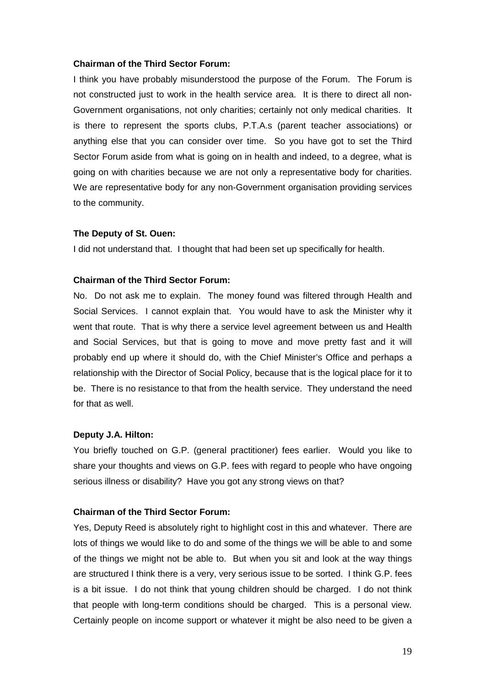#### **Chairman of the Third Sector Forum:**

I think you have probably misunderstood the purpose of the Forum. The Forum is not constructed just to work in the health service area. It is there to direct all non-Government organisations, not only charities; certainly not only medical charities. It is there to represent the sports clubs, P.T.A.s (parent teacher associations) or anything else that you can consider over time. So you have got to set the Third Sector Forum aside from what is going on in health and indeed, to a degree, what is going on with charities because we are not only a representative body for charities. We are representative body for any non-Government organisation providing services to the community.

#### **The Deputy of St. Ouen:**

I did not understand that. I thought that had been set up specifically for health.

#### **Chairman of the Third Sector Forum:**

No. Do not ask me to explain. The money found was filtered through Health and Social Services. I cannot explain that. You would have to ask the Minister why it went that route. That is why there a service level agreement between us and Health and Social Services, but that is going to move and move pretty fast and it will probably end up where it should do, with the Chief Minister's Office and perhaps a relationship with the Director of Social Policy, because that is the logical place for it to be. There is no resistance to that from the health service. They understand the need for that as well.

#### **Deputy J.A. Hilton:**

You briefly touched on G.P. (general practitioner) fees earlier. Would you like to share your thoughts and views on G.P. fees with regard to people who have ongoing serious illness or disability? Have you got any strong views on that?

#### **Chairman of the Third Sector Forum:**

Yes, Deputy Reed is absolutely right to highlight cost in this and whatever. There are lots of things we would like to do and some of the things we will be able to and some of the things we might not be able to. But when you sit and look at the way things are structured I think there is a very, very serious issue to be sorted. I think G.P. fees is a bit issue. I do not think that young children should be charged. I do not think that people with long-term conditions should be charged. This is a personal view. Certainly people on income support or whatever it might be also need to be given a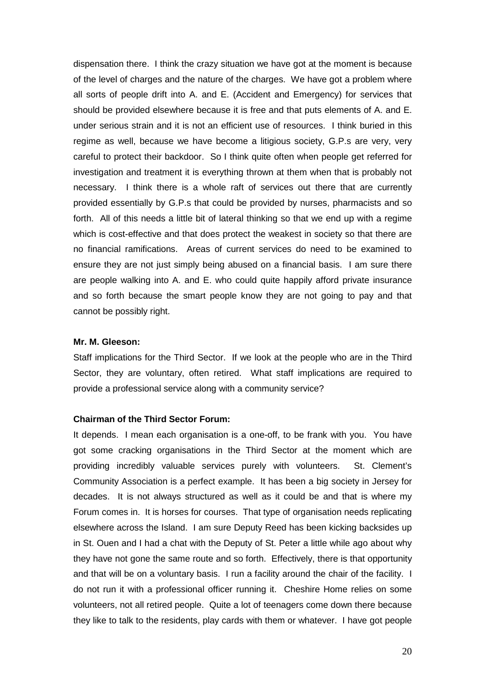dispensation there. I think the crazy situation we have got at the moment is because of the level of charges and the nature of the charges. We have got a problem where all sorts of people drift into A. and E. (Accident and Emergency) for services that should be provided elsewhere because it is free and that puts elements of A. and E. under serious strain and it is not an efficient use of resources. I think buried in this regime as well, because we have become a litigious society, G.P.s are very, very careful to protect their backdoor. So I think quite often when people get referred for investigation and treatment it is everything thrown at them when that is probably not necessary. I think there is a whole raft of services out there that are currently provided essentially by G.P.s that could be provided by nurses, pharmacists and so forth. All of this needs a little bit of lateral thinking so that we end up with a regime which is cost-effective and that does protect the weakest in society so that there are no financial ramifications. Areas of current services do need to be examined to ensure they are not just simply being abused on a financial basis. I am sure there are people walking into A. and E. who could quite happily afford private insurance and so forth because the smart people know they are not going to pay and that cannot be possibly right.

## **Mr. M. Gleeson:**

Staff implications for the Third Sector. If we look at the people who are in the Third Sector, they are voluntary, often retired. What staff implications are required to provide a professional service along with a community service?

## **Chairman of the Third Sector Forum:**

It depends. I mean each organisation is a one-off, to be frank with you. You have got some cracking organisations in the Third Sector at the moment which are providing incredibly valuable services purely with volunteers. St. Clement's Community Association is a perfect example. It has been a big society in Jersey for decades. It is not always structured as well as it could be and that is where my Forum comes in. It is horses for courses. That type of organisation needs replicating elsewhere across the Island. I am sure Deputy Reed has been kicking backsides up in St. Ouen and I had a chat with the Deputy of St. Peter a little while ago about why they have not gone the same route and so forth. Effectively, there is that opportunity and that will be on a voluntary basis. I run a facility around the chair of the facility. I do not run it with a professional officer running it. Cheshire Home relies on some volunteers, not all retired people. Quite a lot of teenagers come down there because they like to talk to the residents, play cards with them or whatever. I have got people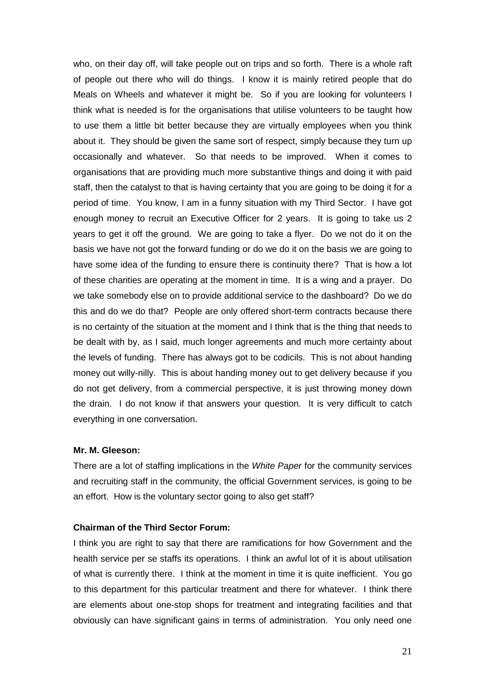who, on their day off, will take people out on trips and so forth. There is a whole raft of people out there who will do things. I know it is mainly retired people that do Meals on Wheels and whatever it might be. So if you are looking for volunteers I think what is needed is for the organisations that utilise volunteers to be taught how to use them a little bit better because they are virtually employees when you think about it. They should be given the same sort of respect, simply because they turn up occasionally and whatever. So that needs to be improved. When it comes to organisations that are providing much more substantive things and doing it with paid staff, then the catalyst to that is having certainty that you are going to be doing it for a period of time. You know, I am in a funny situation with my Third Sector. I have got enough money to recruit an Executive Officer for 2 years. It is going to take us 2 years to get it off the ground. We are going to take a flyer. Do we not do it on the basis we have not got the forward funding or do we do it on the basis we are going to have some idea of the funding to ensure there is continuity there? That is how a lot of these charities are operating at the moment in time. It is a wing and a prayer. Do we take somebody else on to provide additional service to the dashboard? Do we do this and do we do that? People are only offered short-term contracts because there is no certainty of the situation at the moment and I think that is the thing that needs to be dealt with by, as I said, much longer agreements and much more certainty about the levels of funding. There has always got to be codicils. This is not about handing money out willy-nilly. This is about handing money out to get delivery because if you do not get delivery, from a commercial perspective, it is just throwing money down the drain. I do not know if that answers your question. It is very difficult to catch everything in one conversation.

#### **Mr. M. Gleeson:**

There are a lot of staffing implications in the White Paper for the community services and recruiting staff in the community, the official Government services, is going to be an effort. How is the voluntary sector going to also get staff?

#### **Chairman of the Third Sector Forum:**

I think you are right to say that there are ramifications for how Government and the health service per se staffs its operations. I think an awful lot of it is about utilisation of what is currently there. I think at the moment in time it is quite inefficient. You go to this department for this particular treatment and there for whatever. I think there are elements about one-stop shops for treatment and integrating facilities and that obviously can have significant gains in terms of administration. You only need one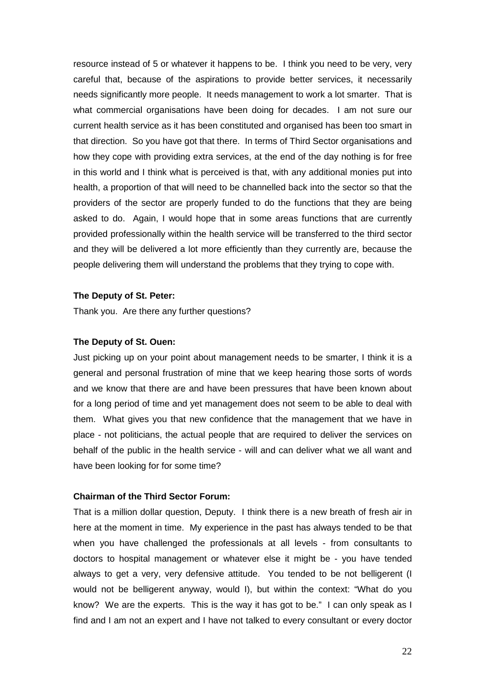resource instead of 5 or whatever it happens to be. I think you need to be very, very careful that, because of the aspirations to provide better services, it necessarily needs significantly more people. It needs management to work a lot smarter. That is what commercial organisations have been doing for decades. I am not sure our current health service as it has been constituted and organised has been too smart in that direction. So you have got that there. In terms of Third Sector organisations and how they cope with providing extra services, at the end of the day nothing is for free in this world and I think what is perceived is that, with any additional monies put into health, a proportion of that will need to be channelled back into the sector so that the providers of the sector are properly funded to do the functions that they are being asked to do. Again, I would hope that in some areas functions that are currently provided professionally within the health service will be transferred to the third sector and they will be delivered a lot more efficiently than they currently are, because the people delivering them will understand the problems that they trying to cope with.

#### **The Deputy of St. Peter:**

Thank you. Are there any further questions?

#### **The Deputy of St. Ouen:**

Just picking up on your point about management needs to be smarter, I think it is a general and personal frustration of mine that we keep hearing those sorts of words and we know that there are and have been pressures that have been known about for a long period of time and yet management does not seem to be able to deal with them. What gives you that new confidence that the management that we have in place - not politicians, the actual people that are required to deliver the services on behalf of the public in the health service - will and can deliver what we all want and have been looking for for some time?

#### **Chairman of the Third Sector Forum:**

That is a million dollar question, Deputy. I think there is a new breath of fresh air in here at the moment in time. My experience in the past has always tended to be that when you have challenged the professionals at all levels - from consultants to doctors to hospital management or whatever else it might be - you have tended always to get a very, very defensive attitude. You tended to be not belligerent (I would not be belligerent anyway, would I), but within the context: "What do you know? We are the experts. This is the way it has got to be." I can only speak as I find and I am not an expert and I have not talked to every consultant or every doctor